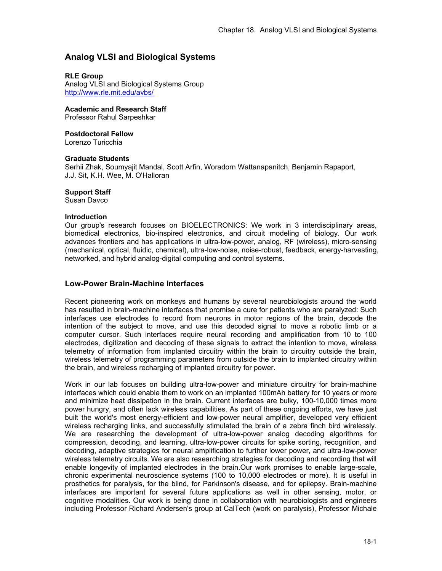# **Analog VLSI and Biological Systems**

## **RLE Group**

Analog VLSI and Biological Systems Group http://www.rle.mit.edu/avbs/

**Academic and Research Staff** 

Professor Rahul Sarpeshkar

**Postdoctoral Fellow** 

Lorenzo Turicchia

### **Graduate Students**

Serhii Zhak, Soumyajit Mandal, Scott Arfin, Woradorn Wattanapanitch, Benjamin Rapaport, J.J. Sit, K.H. Wee, M. O'Halloran

### **Support Staff**

Susan Davco

#### **Introduction**

Our group's research focuses on BIOELECTRONICS: We work in 3 interdisciplinary areas, biomedical electronics, bio-inspired electronics, and circuit modeling of biology. Our work advances frontiers and has applications in ultra-low-power, analog, RF (wireless), micro-sensing (mechanical, optical, fluidic, chemical), ultra-low-noise, noise-robust, feedback, energy-harvesting, networked, and hybrid analog-digital computing and control systems.

# **Low-Power Brain-Machine Interfaces**

Recent pioneering work on monkeys and humans by several neurobiologists around the world has resulted in brain-machine interfaces that promise a cure for patients who are paralyzed: Such interfaces use electrodes to record from neurons in motor regions of the brain, decode the intention of the subject to move, and use this decoded signal to move a robotic limb or a computer cursor. Such interfaces require neural recording and amplification from 10 to 100 electrodes, digitization and decoding of these signals to extract the intention to move, wireless telemetry of information from implanted circuitry within the brain to circuitry outside the brain, wireless telemetry of programming parameters from outside the brain to implanted circuitry within the brain, and wireless recharging of implanted circuitry for power.

Work in our lab focuses on building ultra-low-power and miniature circuitry for brain-machine interfaces which could enable them to work on an implanted 100mAh battery for 10 years or more and minimize heat dissipation in the brain. Current interfaces are bulky, 100-10,000 times more power hungry, and often lack wireless capabilities. As part of these ongoing efforts, we have just built the world's most energy-efficient and low-power neural amplifier, developed very efficient wireless recharging links, and successfully stimulated the brain of a zebra finch bird wirelessly. We are researching the development of ultra-low-power analog decoding algorithms for compression, decoding, and learning, ultra-low-power circuits for spike sorting, recognition, and decoding, adaptive strategies for neural amplification to further lower power, and ultra-low-power wireless telemetry circuits. We are also researching strategies for decoding and recording that will enable longevity of implanted electrodes in the brain.Our work promises to enable large-scale, chronic experimental neuroscience systems (100 to 10,000 electrodes or more). It is useful in prosthetics for paralysis, for the blind, for Parkinson's disease, and for epilepsy. Brain-machine interfaces are important for several future applications as well in other sensing, motor, or cognitive modalities. Our work is being done in collaboration with neurobiologists and engineers including Professor Richard Andersen's group at CalTech (work on paralysis), Professor Michale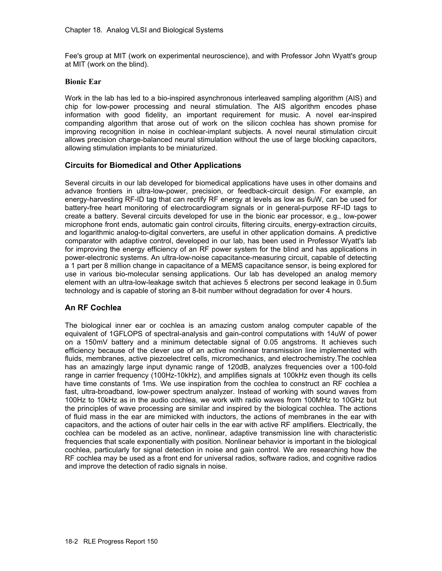Fee's group at MIT (work on experimental neuroscience), and with Professor John Wyatt's group at MIT (work on the blind).

## **Bionic Ear**

Work in the lab has led to a bio-inspired asynchronous interleaved sampling algorithm (AIS) and chip for low-power processing and neural stimulation. The AIS algorithm encodes phase information with good fidelity, an important requirement for music. A novel ear-inspired companding algorithm that arose out of work on the silicon cochlea has shown promise for improving recognition in noise in cochlear-implant subjects. A novel neural stimulation circuit allows precision charge-balanced neural stimulation without the use of large blocking capacitors, allowing stimulation implants to be miniaturized.

# **Circuits for Biomedical and Other Applications**

Several circuits in our lab developed for biomedical applications have uses in other domains and advance frontiers in ultra-low-power, precision, or feedback-circuit design. For example, an energy-harvesting RF-ID tag that can rectify RF energy at levels as low as 6uW, can be used for battery-free heart monitoring of electrocardiogram signals or in general-purpose RF-ID tags to create a battery. Several circuits developed for use in the bionic ear processor, e.g., low-power microphone front ends, automatic gain control circuits, filtering circuits, energy-extraction circuits, and logarithmic analog-to-digital converters, are useful in other application domains. A predictive comparator with adaptive control, developed in our lab, has been used in Professor Wyatt's lab for improving the energy efficiency of an RF power system for the blind and has applications in power-electronic systems. An ultra-low-noise capacitance-measuring circuit, capable of detecting a 1 part per 8 million change in capacitance of a MEMS capacitance sensor, is being explored for use in various bio-molecular sensing applications. Our lab has developed an analog memory element with an ultra-low-leakage switch that achieves 5 electrons per second leakage in 0.5um technology and is capable of storing an 8-bit number without degradation for over 4 hours.

# **An RF Cochlea**

The biological inner ear or cochlea is an amazing custom analog computer capable of the equivalent of 1GFLOPS of spectral-analysis and gain-control computations with 14uW of power on a 150mV battery and a minimum detectable signal of 0.05 angstroms. It achieves such efficiency because of the clever use of an active nonlinear transmission line implemented with fluids, membranes, active piezoelectret cells, micromechanics, and electrochemistry.The cochlea has an amazingly large input dynamic range of 120dB, analyzes frequencies over a 100-fold range in carrier frequency (100Hz-10kHz), and amplifies signals at 100kHz even though its cells have time constants of 1ms. We use inspiration from the cochlea to construct an RF cochlea a fast, ultra-broadband, low-power spectrum analyzer. Instead of working with sound waves from 100Hz to 10kHz as in the audio cochlea, we work with radio waves from 100MHz to 10GHz but the principles of wave processing are similar and inspired by the biological cochlea. The actions of fluid mass in the ear are mimicked with inductors, the actions of membranes in the ear with capacitors, and the actions of outer hair cells in the ear with active RF amplifiers. Electrically, the cochlea can be modeled as an active, nonlinear, adaptive transmission line with characteristic frequencies that scale exponentially with position. Nonlinear behavior is important in the biological cochlea, particularly for signal detection in noise and gain control. We are researching how the RF cochlea may be used as a front end for universal radios, software radios, and cognitive radios and improve the detection of radio signals in noise.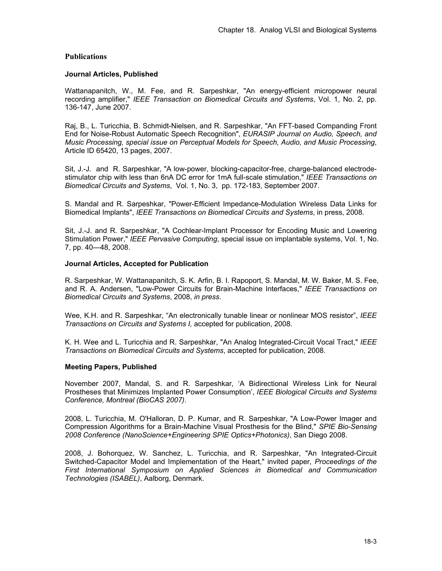## **Publications**

#### **Journal Articles, Published**

Wattanapanitch, W., M. Fee, and R. Sarpeshkar, "An energy-efficient micropower neural recording amplifier," *IEEE Transaction on Biomedical Circuits and Systems*, Vol. 1, No. 2, pp. 136-147, June 2007.

Raj, B., L. Turicchia, B. Schmidt-Nielsen, and R. Sarpeshkar, "An FFT-based Companding Front End for Noise-Robust Automatic Speech Recognition", *EURASIP Journal on Audio, Speech, and Music Processing, special issue on Perceptual Models for Speech, Audio, and Music Processing*, Article ID 65420, 13 pages, 2007.

Sit, J.-J. and R. Sarpeshkar, "A low-power, blocking-capacitor-free, charge-balanced electrodestimulator chip with less than 6nA DC error for 1mA full-scale stimulation," *IEEE Transactions on Biomedical Circuits and Systems*, Vol. 1, No. 3, pp. 172-183, September 2007.

S. Mandal and R. Sarpeshkar, "Power-Efficient Impedance-Modulation Wireless Data Links for Biomedical Implants", *IEEE Transactions on Biomedical Circuits and Systems*, in press, 2008.

Sit, J.-J. and R. Sarpeshkar, "A Cochlear-Implant Processor for Encoding Music and Lowering Stimulation Power," *IEEE Pervasive Computing*, special issue on implantable systems, Vol. 1, No. 7, pp. 40—48, 2008.

#### **Journal Articles, Accepted for Publication**

R. Sarpeshkar, W. Wattanapanitch, S. K. Arfin, B. I. Rapoport, S. Mandal, M. W. Baker, M. S. Fee, and R. A. Andersen, "Low-Power Circuits for Brain-Machine Interfaces," *IEEE Transactions on Biomedical Circuits and Systems*, 2008, *in press*.

Wee, K.H. and R. Sarpeshkar, "An electronically tunable linear or nonlinear MOS resistor", *IEEE Transactions on Circuits and Systems I,* accepted for publication, 2008.

K. H. Wee and L. Turicchia and R. Sarpeshkar, "An Analog Integrated-Circuit Vocal Tract," *IEEE Transactions on Biomedical Circuits and Systems*, accepted for publication, 2008.

### **Meeting Papers, Published**

November 2007, Mandal, S. and R. Sarpeshkar, 'A Bidirectional Wireless Link for Neural Prostheses that Minimizes Implanted Power Consumption', *IEEE Biological Circuits and Systems Conference, Montreal (BioCAS 2007)*.

2008, L. Turicchia, M. O'Halloran, D. P. Kumar, and R. Sarpeshkar, "A Low-Power Imager and Compression Algorithms for a Brain-Machine Visual Prosthesis for the Blind," *SPIE Bio-Sensing 2008 Conference (NanoScience+Engineering SPIE Optics+Photonics)*, San Diego 2008.

2008, J. Bohorquez, W. Sanchez, L. Turicchia, and R. Sarpeshkar, "An Integrated-Circuit Switched-Capacitor Model and Implementation of the Heart," invited paper, *Proceedings of the First International Symposium on Applied Sciences in Biomedical and Communication Technologies (ISABEL)*, Aalborg, Denmark.